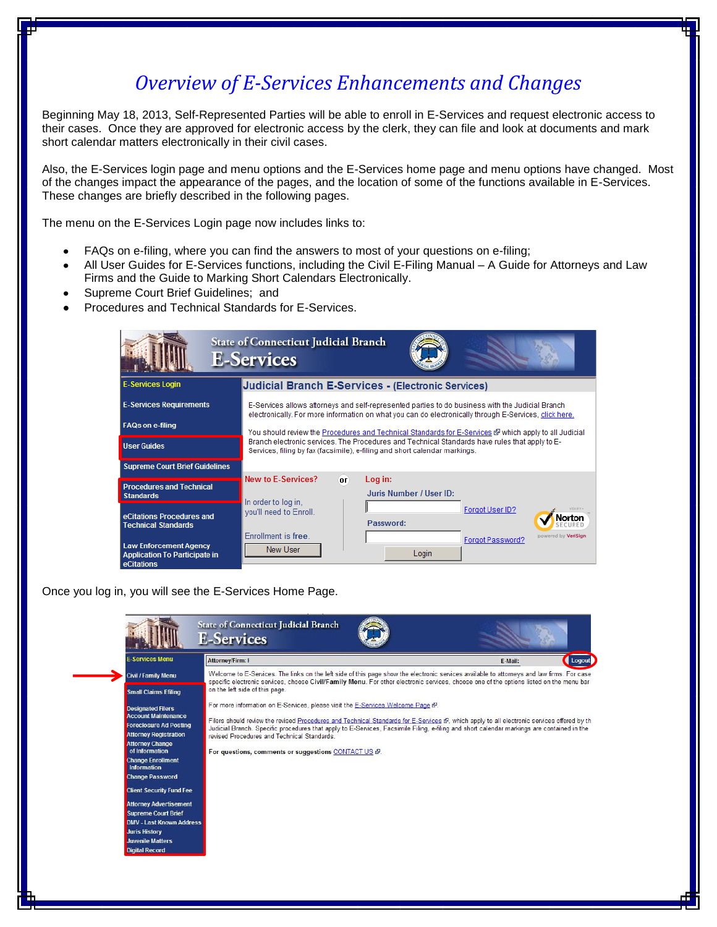## *Overview of E-Services Enhancements and Changes*

Beginning May 18, 2013, Self-Represented Parties will be able to enroll in E-Services and request electronic access to their cases. Once they are approved for electronic access by the clerk, they can file and look at documents and mark short calendar matters electronically in their civil cases.

Also, the E-Services login page and menu options and the E-Services home page and menu options have changed. Most of the changes impact the appearance of the pages, and the location of some of the functions available in E-Services. These changes are briefly described in the following pages.

The menu on the E-Services Login page now includes links to:

- FAQs on e-filing, where you can find the answers to most of your questions on e-filing;
- All User Guides for E-Services functions, including the Civil E-Filing Manual A Guide for Attorneys and Law Firms and the Guide to Marking Short Calendars Electronically.
- Supreme Court Brief Guidelines; and
- Procedures and Technical Standards for E-Services.

|                                                                                     | <b>State of Connecticut Judicial Branch</b><br><b>E-Services</b>                                                                                                                                           |
|-------------------------------------------------------------------------------------|------------------------------------------------------------------------------------------------------------------------------------------------------------------------------------------------------------|
| <b>E-Services Login</b>                                                             | <b>Judicial Branch E-Services - (Electronic Services)</b>                                                                                                                                                  |
| <b>E-Services Requirements</b>                                                      | E-Services allows attorneys and self-represented parties to do business with the Judicial Branch<br>electronically. For more information on what you can do electronically through E-Services, click here. |
| <b>FAQs on e-filing</b>                                                             | You should review the Procedures and Technical Standards for E-Services & which apply to all Judicial                                                                                                      |
| <b>User Guides</b>                                                                  | Branch electronic services. The Procedures and Technical Standards have rules that apply to E-<br>Services, filing by fax (facsimile), e-filing and short calendar markings.                               |
| <b>Supreme Court Brief Guidelines</b>                                               |                                                                                                                                                                                                            |
| <b>Procedures and Technical</b><br><b>Standards</b>                                 | New to E-Services?<br>Log in:<br>OD.<br>Juris Number / User ID:                                                                                                                                            |
| eCitations Procedures and<br><b>Technical Standards</b>                             | In order to log in.<br>Forgot User ID?<br>you'll need to Enroll.<br>ωı<br>Password:                                                                                                                        |
| <b>Law Enforcement Agency</b><br><b>Application To Participate in</b><br>eCitations | Enrollment is free.<br>powered by VeriSian<br>Forgot Password?<br>New User<br>Login                                                                                                                        |

Once you log in, you will see the E-Services Home Page.

| <b>Civil / Family Menu</b><br>on the left side of this page.<br><b>Small Claims Efiling</b><br>For more information on E-Services, please visit the E-Services Welcome Page &<br><b>Designated Filers</b><br><b>Account Maintenance</b><br>Filers should review the revised Procedures and Technical Standards for E-Services &, which apply to all electronic services offered by th<br><b>Foreclosure Ad Posting</b><br>Judicial Branch. Specific procedures that apply to E-Services, Facsimile Filing, e-filing and short calendar markings are contained in the<br><b>Attorney Registration</b><br>revised Procedures and Technical Standards.<br><b>Attorney Change</b><br>of Information<br>For questions, comments or suggestions CONTACT US &.<br><b>Change Enrollment</b><br>Information<br><b>Change Password</b><br><b>Client Security Fund Fee</b><br><b>Attorney Advertisement</b> | <b>E-Services Menu</b> | Attorney/Firm: I                                                                                                                                                                                                                                                                      | Logout<br>E-Mail: |
|--------------------------------------------------------------------------------------------------------------------------------------------------------------------------------------------------------------------------------------------------------------------------------------------------------------------------------------------------------------------------------------------------------------------------------------------------------------------------------------------------------------------------------------------------------------------------------------------------------------------------------------------------------------------------------------------------------------------------------------------------------------------------------------------------------------------------------------------------------------------------------------------------|------------------------|---------------------------------------------------------------------------------------------------------------------------------------------------------------------------------------------------------------------------------------------------------------------------------------|-------------------|
|                                                                                                                                                                                                                                                                                                                                                                                                                                                                                                                                                                                                                                                                                                                                                                                                                                                                                                  |                        | Welcome to E-Services. The links on the left side of this page show the electronic services available to attorneys and law firms. For case<br>specific electronic services, choose Civil/Family Menu. For other electronic services, choose one of the options listed on the menu bar |                   |
|                                                                                                                                                                                                                                                                                                                                                                                                                                                                                                                                                                                                                                                                                                                                                                                                                                                                                                  |                        |                                                                                                                                                                                                                                                                                       |                   |
|                                                                                                                                                                                                                                                                                                                                                                                                                                                                                                                                                                                                                                                                                                                                                                                                                                                                                                  |                        |                                                                                                                                                                                                                                                                                       |                   |
|                                                                                                                                                                                                                                                                                                                                                                                                                                                                                                                                                                                                                                                                                                                                                                                                                                                                                                  |                        |                                                                                                                                                                                                                                                                                       |                   |
|                                                                                                                                                                                                                                                                                                                                                                                                                                                                                                                                                                                                                                                                                                                                                                                                                                                                                                  |                        |                                                                                                                                                                                                                                                                                       |                   |
|                                                                                                                                                                                                                                                                                                                                                                                                                                                                                                                                                                                                                                                                                                                                                                                                                                                                                                  |                        |                                                                                                                                                                                                                                                                                       |                   |
|                                                                                                                                                                                                                                                                                                                                                                                                                                                                                                                                                                                                                                                                                                                                                                                                                                                                                                  |                        |                                                                                                                                                                                                                                                                                       |                   |
|                                                                                                                                                                                                                                                                                                                                                                                                                                                                                                                                                                                                                                                                                                                                                                                                                                                                                                  |                        |                                                                                                                                                                                                                                                                                       |                   |
|                                                                                                                                                                                                                                                                                                                                                                                                                                                                                                                                                                                                                                                                                                                                                                                                                                                                                                  |                        |                                                                                                                                                                                                                                                                                       |                   |
|                                                                                                                                                                                                                                                                                                                                                                                                                                                                                                                                                                                                                                                                                                                                                                                                                                                                                                  |                        |                                                                                                                                                                                                                                                                                       |                   |
| <b>Supreme Court Brief</b>                                                                                                                                                                                                                                                                                                                                                                                                                                                                                                                                                                                                                                                                                                                                                                                                                                                                       |                        |                                                                                                                                                                                                                                                                                       |                   |
| <b>DMV - Last Known Address</b>                                                                                                                                                                                                                                                                                                                                                                                                                                                                                                                                                                                                                                                                                                                                                                                                                                                                  |                        |                                                                                                                                                                                                                                                                                       |                   |
| <b>Juris History</b>                                                                                                                                                                                                                                                                                                                                                                                                                                                                                                                                                                                                                                                                                                                                                                                                                                                                             |                        |                                                                                                                                                                                                                                                                                       |                   |
| <b>Juvenile Matters</b>                                                                                                                                                                                                                                                                                                                                                                                                                                                                                                                                                                                                                                                                                                                                                                                                                                                                          |                        |                                                                                                                                                                                                                                                                                       |                   |